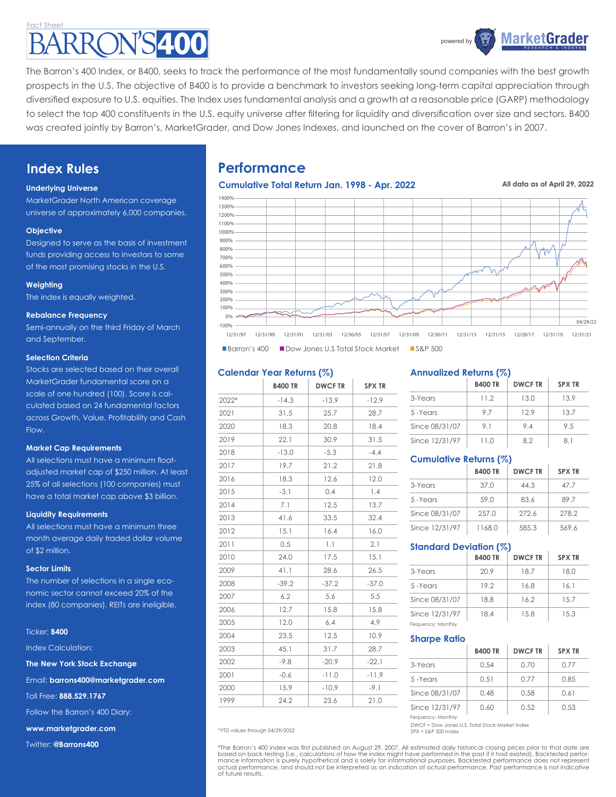## act Sheet **N'S400**



The Barron's 400 Index, or B400, seeks to track the performance of the most fundamentally sound companies with the best growth prospects in the U.S. The objective of B400 is to provide a benchmark to investors seeking long-term capital appreciation through diversified exposure to U.S. equities. The Index uses fundamental analysis and a growth at a reasonable price (GARP) methodology to select the top 400 constituents in the U.S. equity universe after filtering for liquidity and diversification over size and sectors. B400 was created jointly by Barron's, MarketGrader, and Dow Jones Indexes, and launched on the cover of Barron's in 2007.

## **Index Rules**

## **Underlying Universe**

MarketGrader North American coverage universe of approximately 6,000 companies.

## **Objective**

Designed to serve as the basis of investment funds providing access to investors to some of the most promising stocks in the U.S.

## **Weighting**

The index is equally weighted.

## **Rebalance Frequency**

Semi-annually on the third Friday of March and September.

## **Selection Criteria**

Stocks are selected based on their overall MarketGrader fundamental score on a scale of one hundred (100). Score is calculated based on 24 fundamental factors across Growth, Value, Profitability and Cash Flow.

## **Market Cap Requirements**

All selections must have a minimum floatadjusted market cap of \$250 million. At least 25% of all selections (100 companies) must have a total market cap above \$3 billion.

## **Liquidity Requirements**

All selections must have a minimum three month average daily traded dollar volume of \$2 million.

## **Sector Limits**

The number of selections in a single economic sector cannot exceed 20% of the index (80 companies). REITs are ineligible.

#### Ticker: **B400**

Index Calculation:

**The New York Stock Exchange**

Email: **barrons400@marketgrader.com**

Toll Free: **888.529.1767**

Follow the Barron's 400 Diary:

**www.marketgrader.com**

Twitter: **@Barrons400**

## **Performance**



**All data as of April 29, 2022**



## **Calendar Year Returns (%)**

|       | <b>B400 TR</b> | <b>DWCF TR</b> | <b>SPX TR</b> |
|-------|----------------|----------------|---------------|
| 2022* | $-14.3$        | $-13.9$        | $-12.9$       |
| 2021  | 31.5           | 25.7           | 28.7          |
| 2020  | 18.3           | 20.8           | 18.4          |
| 2019  | 22.1           | 30.9           | 31.5          |
| 2018  | $-13.0$        | $-5.3$         | $-4.4$        |
| 2017  | 19.7           | 21.2           | 21.8          |
| 2016  | 18.3           | 12.6           | 12.0          |
| 2015  | $-3.1$         | 0.4            | 1.4           |
| 2014  | 7.1            | 12.5           | 13.7          |
| 2013  | 41.6           | 33.5           | 32.4          |
| 2012  | 15.1           | 16.4           | 16.0          |
| 2011  | 0.5            | 1.1            | 2.1           |
| 2010  | 24.0           | 17.5           | 15.1          |
| 2009  | 41.1           | 28.6           | 26.5          |
| 2008  | $-39.2$        | $-37.2$        | $-37.0$       |
| 2007  | 6.2            | 5.6            | 5.5           |
| 2006  | 12.7           | 15.8           | 15.8          |
| 2005  | 12.0           | 6.4            | 4.9           |
| 2004  | 23.5           | 12.5           | 10.9          |
| 2003  | 45.1           | 31.7           | 28.7          |
| 2002  | $-9.8$         | $-20.9$        | $-22.1$       |
| 2001  | $-0.6$         | $-11.0$        | $-11.9$       |
| 2000  | 15.9           | $-10.9$        | $-9.1$        |
| 1999  | 24.2           | 23.6           | 21.0          |

**Annualized Returns (%)**

|                | <b>B400 TR</b> | <b>DWCFTR</b> | <b>SPX TR</b> |
|----------------|----------------|---------------|---------------|
| 3-Years        | 11.2           | 13.0          | 13.9          |
| 5-Years        | 9.7            | 129           | 13.7          |
| Since 08/31/07 | 91             | 94            | 9.5           |
| Since 12/31/97 | 11.0           | 82            | 81            |

## **Cumulative Returns (%)**

|                | <b>B400 TR</b> | <b>DWCFTR</b> | <b>SPX TR</b> |
|----------------|----------------|---------------|---------------|
| 3-Years        | 37.0           | 44.3          | 47.7          |
| 5-Years        | 59.0           | 83.6          | 897           |
| Since 08/31/07 | 257.0          | 272.6         | 278.2         |
| Since 12/31/97 | 1168.0         | 585.3         | 569.6         |

## **Standard Deviation (%)**

|                   | <b>B400 TR</b> | <b>DWCFTR</b> | <b>SPX TR</b> |
|-------------------|----------------|---------------|---------------|
| 3-Years           | 20.9           | 18.7          | 18.0          |
| 5-Years           | 19.2           | 16.8          | 16.1          |
| Since 08/31/07    | 18.8           | 16.2          | 15.7          |
| Since 12/31/97    | 18.4           | 15.8          | 15.3          |
| Fequency: Monthly |                |               |               |

## **Sharpe Ratio**

|                                     | <b>B400 TR</b> | <b>DWCFTR</b> | <b>SPX TR</b> |
|-------------------------------------|----------------|---------------|---------------|
| 3-Years                             | 0.54           | 0.70          | 0.77          |
| 5-Years                             | 0.51           | 0.77          | 0.85          |
| Since 08/31/07                      | 0.48           | 0.58          | 0.61          |
| Since 12/31/97<br>Fequency: Monthly | 0.60           | 0.52          | 0.53          |

DWCF = Dow Jones U.S. Total Stock Market Index \*YTD values through 04/29/2022 SPX = S&P 500 Index

\*The Barron's 400 index was first published on August 29, 2007. All estimated daily historical closing prices prior to that date are<br>based on back-testing (i.e., calculations of how the index might have performed in the pa actual performance, and should not be interpreted as an indication of actual performance. Past performance is not indicative of future results.